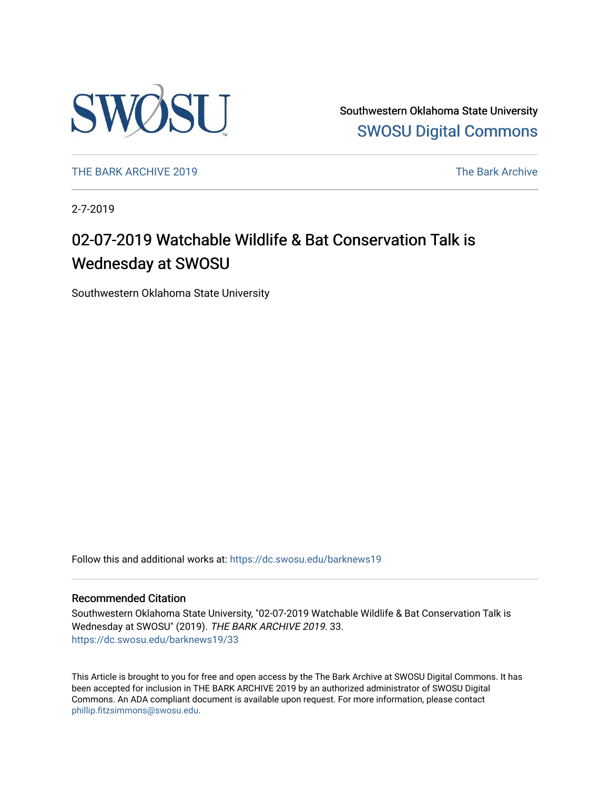

Southwestern Oklahoma State University [SWOSU Digital Commons](https://dc.swosu.edu/) 

[THE BARK ARCHIVE 2019](https://dc.swosu.edu/barknews19) The Bark Archive

2-7-2019

### 02-07-2019 Watchable Wildlife & Bat Conservation Talk is Wednesday at SWOSU

Southwestern Oklahoma State University

Follow this and additional works at: [https://dc.swosu.edu/barknews19](https://dc.swosu.edu/barknews19?utm_source=dc.swosu.edu%2Fbarknews19%2F33&utm_medium=PDF&utm_campaign=PDFCoverPages)

#### Recommended Citation

Southwestern Oklahoma State University, "02-07-2019 Watchable Wildlife & Bat Conservation Talk is Wednesday at SWOSU" (2019). THE BARK ARCHIVE 2019. 33. [https://dc.swosu.edu/barknews19/33](https://dc.swosu.edu/barknews19/33?utm_source=dc.swosu.edu%2Fbarknews19%2F33&utm_medium=PDF&utm_campaign=PDFCoverPages) 

This Article is brought to you for free and open access by the The Bark Archive at SWOSU Digital Commons. It has been accepted for inclusion in THE BARK ARCHIVE 2019 by an authorized administrator of SWOSU Digital Commons. An ADA compliant document is available upon request. For more information, please contact [phillip.fitzsimmons@swosu.edu](mailto:phillip.fitzsimmons@swosu.edu).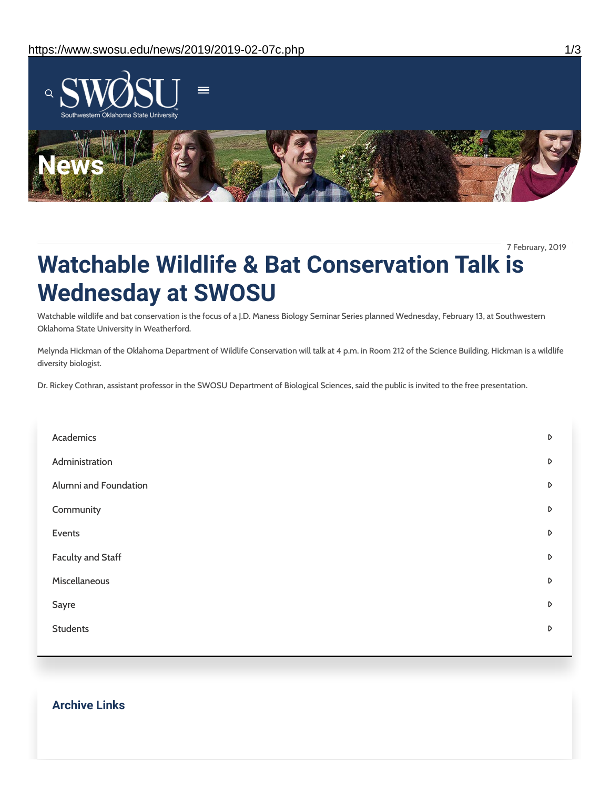

7 February, 2019

## **Watchable Wildlife & Bat Conservation Talk is Wednesday at SWOSU**

Watchable wildlife and bat conservation is the focus of a J.D. Maness Biology Seminar Series planned Wednesday, February 13, at Southwestern Oklahoma State University in Weatherford.

Melynda Hickman of the Oklahoma Department of Wildlife Conservation will talk at 4 p.m. in Room 212 of the Science Building. Hickman is a wildlife diversity biologist.

Dr. Rickey Cothran, assistant professor in the SWOSU Department of Biological Sciences, said the public is invited to the free presentation.

| Academics                | D |
|--------------------------|---|
| Administration           | D |
| Alumni and Foundation    | D |
| Community                | D |
| Events                   | D |
| <b>Faculty and Staff</b> | D |
| Miscellaneous            | D |
| Sayre                    | D |
| <b>Students</b>          | D |
|                          |   |

#### **Archive Links**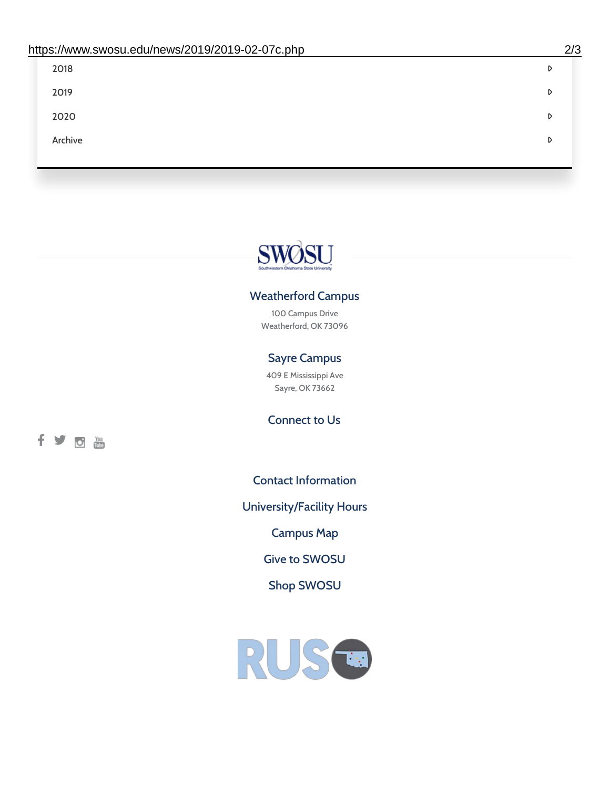| 2018    | D |
|---------|---|
| 2019    | D |
| 2020    | D |
| Archive | D |
|         |   |

# SWØSU

#### Weatherford Campus

100 Campus Drive Weatherford, OK 73096

#### Sayre Campus

409 E Mississippi Ave Sayre, OK 73662

fyom

Connect to Us

Contact [Information](https://www.swosu.edu/about/contact.php)

[University/Facility](https://www.swosu.edu/about/operating-hours.php) Hours

[Campus](https://map.concept3d.com/?id=768#!ct/10964,10214,10213,10212,10205,10204,10203,10202,10136,10129,10128,0,31226,10130,10201,10641,0) Map

Give to [SWOSU](https://standingfirmly.com/donate)

Shop [SWOSU](https://shopswosu.merchorders.com/)